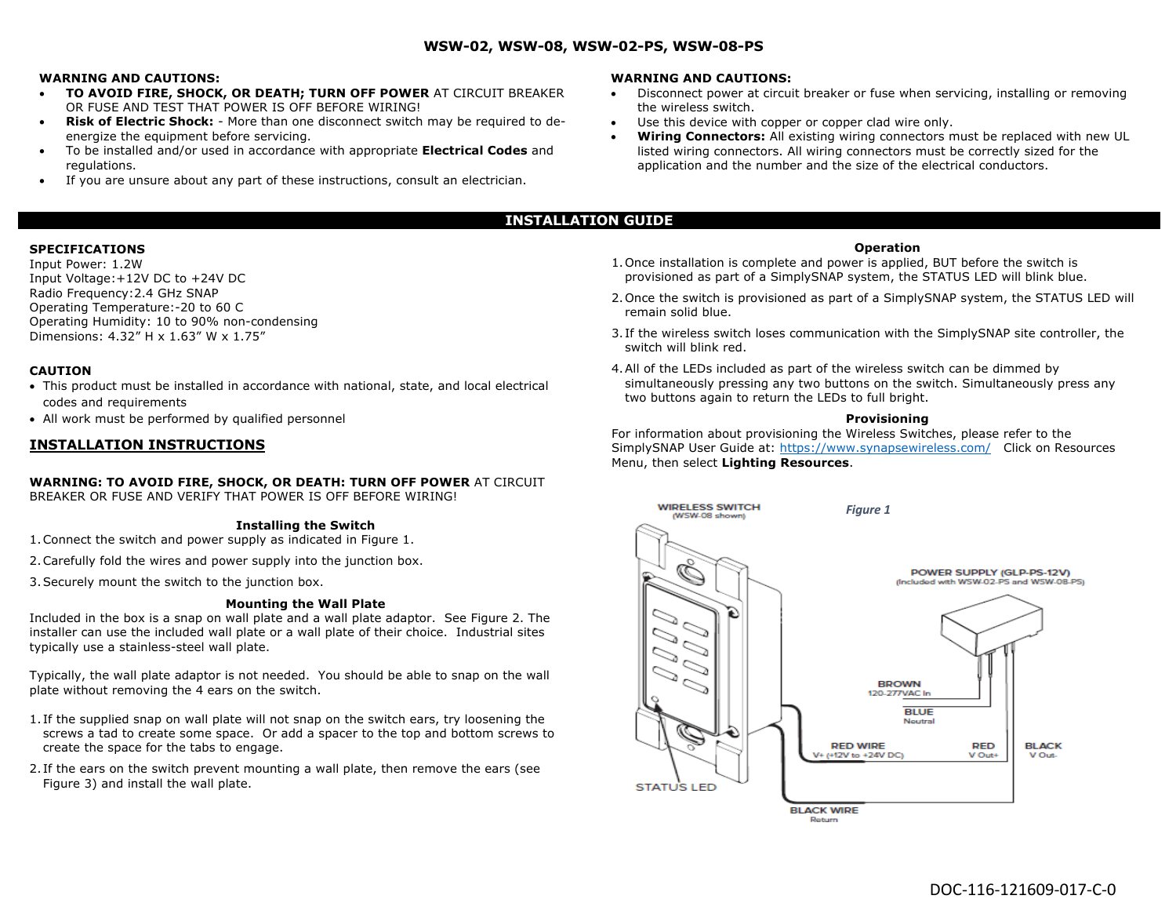### **WSW-02, WSW-08, WSW-02-PS, WSW-08-PS**

#### **WARNING AND CAUTIONS:**

- **TO AVOID FIRE, SHOCK, OR DEATH; TURN OFF POWER** AT CIRCUIT BREAKER OR FUSE AND TEST THAT POWER IS OFF BEFORE WIRING!
- **Risk of Electric Shock:** More than one disconnect switch may be required to deenergize the equipment before servicing.
- To be installed and/or used in accordance with appropriate **Electrical Codes** and regulations.
- If you are unsure about any part of these instructions, consult an electrician.

#### **WARNING AND CAUTIONS:**

- Disconnect power at circuit breaker or fuse when servicing, installing or removing the wireless switch.
- Use this device with copper or copper clad wire only.
- **Wiring Connectors:** All existing wiring connectors must be replaced with new UL listed wiring connectors. All wiring connectors must be correctly sized for the application and the number and the size of the electrical conductors.

# **INSTALLATION GUIDE**

### **SPECIFICATIONS**

Input Power: 1.2W Input Voltage:+12V DC to +24V DC Radio Frequency:2.4 GHz SNAP Operating Temperature:-20 to 60 C Operating Humidity: 10 to 90% non-condensing Dimensions: 4.32" H x 1.63" W x 1.75"

## **CAUTION**

- This product must be installed in accordance with national, state, and local electrical codes and requirements
- All work must be performed by qualified personnel

## **INSTALLATION INSTRUCTIONS**

#### **WARNING: TO AVOID FIRE, SHOCK, OR DEATH: TURN OFF POWER** AT CIRCUIT BREAKER OR FUSE AND VERIFY THAT POWER IS OFF BEFORE WIRING!

#### **Installing the Switch**

- 1.Connect the switch and power supply as indicated in Figure 1.
- 2.Carefully fold the wires and power supply into the junction box.
- 3.Securely mount the switch to the junction box.

#### **Mounting the Wall Plate**

Included in the box is a snap on wall plate and a wall plate adaptor. See Figure 2. The installer can use the included wall plate or a wall plate of their choice. Industrial sites typically use a stainless-steel wall plate.

Typically, the wall plate adaptor is not needed. You should be able to snap on the wall plate without removing the 4 ears on the switch.

- 1. If the supplied snap on wall plate will not snap on the switch ears, try loosening the screws a tad to create some space. Or add a spacer to the top and bottom screws to create the space for the tabs to engage.
- 2. If the ears on the switch prevent mounting a wall plate, then remove the ears (see Figure 3) and install the wall plate.

#### **Operation**

- 1.Once installation is complete and power is applied, BUT before the switch is provisioned as part of a SimplySNAP system, the STATUS LED will blink blue.
- 2.Once the switch is provisioned as part of a SimplySNAP system, the STATUS LED will remain solid blue.
- 3. If the wireless switch loses communication with the SimplySNAP site controller, the switch will blink red.
- 4.All of the LEDs included as part of the wireless switch can be dimmed by simultaneously pressing any two buttons on the switch. Simultaneously press any two buttons again to return the LEDs to full bright.

#### **Provisioning**

For information about provisioning the Wireless Switches, please refer to the SimplySNAP User Guide at: https://www.synapsewireless.com/ Click on Resources Menu, then select **Lighting Resources**.